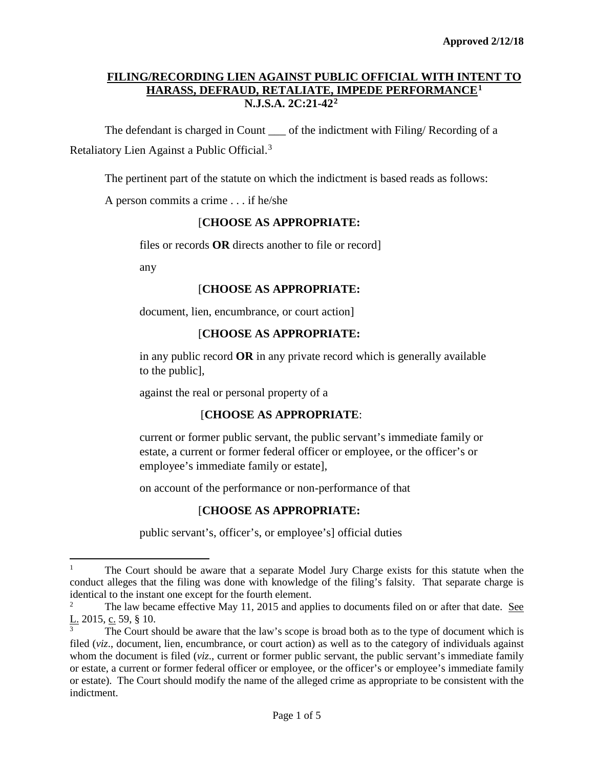# **FILING/RECORDING LIEN AGAINST PUBLIC OFFICIAL WITH INTENT TO HARASS, DEFRAUD, RETALIATE, IMPEDE PERFORMANCE[1](#page-0-0) N.J.S.A. 2C:21-42[2](#page-0-1)**

The defendant is charged in Count of the indictment with Filing/ Recording of a Retaliatory Lien Against a Public Official.<sup>[3](#page-0-2)</sup>

The pertinent part of the statute on which the indictment is based reads as follows:

A person commits a crime . . . if he/she

## [**CHOOSE AS APPROPRIATE:**

files or records **OR** directs another to file or record]

any

 $\overline{a}$ 

## [**CHOOSE AS APPROPRIATE:**

document, lien, encumbrance, or court action]

## [**CHOOSE AS APPROPRIATE:**

in any public record **OR** in any private record which is generally available to the public],

against the real or personal property of a

# [**CHOOSE AS APPROPRIATE**:

current or former public servant, the public servant's immediate family or estate, a current or former federal officer or employee, or the officer's or employee's immediate family or estate],

on account of the performance or non-performance of that

# [**CHOOSE AS APPROPRIATE:**

public servant's, officer's, or employee's] official duties

<span id="page-0-0"></span><sup>&</sup>lt;sup>1</sup> The Court should be aware that a separate Model Jury Charge exists for this statute when the conduct alleges that the filing was done with knowledge of the filing's falsity. That separate charge is identical to the instant one except for the fourth element.

<span id="page-0-1"></span><sup>2</sup> The law became effective May 11, 2015 and applies to documents filed on or after that date. See L. 2015, c. 59, § 10.

<span id="page-0-2"></span>The Court should be aware that the law's scope is broad both as to the type of document which is filed (*viz*., document, lien, encumbrance, or court action) as well as to the category of individuals against whom the document is filed (*viz.*, current or former public servant, the public servant's immediate family or estate, a current or former federal officer or employee, or the officer's or employee's immediate family or estate). The Court should modify the name of the alleged crime as appropriate to be consistent with the indictment.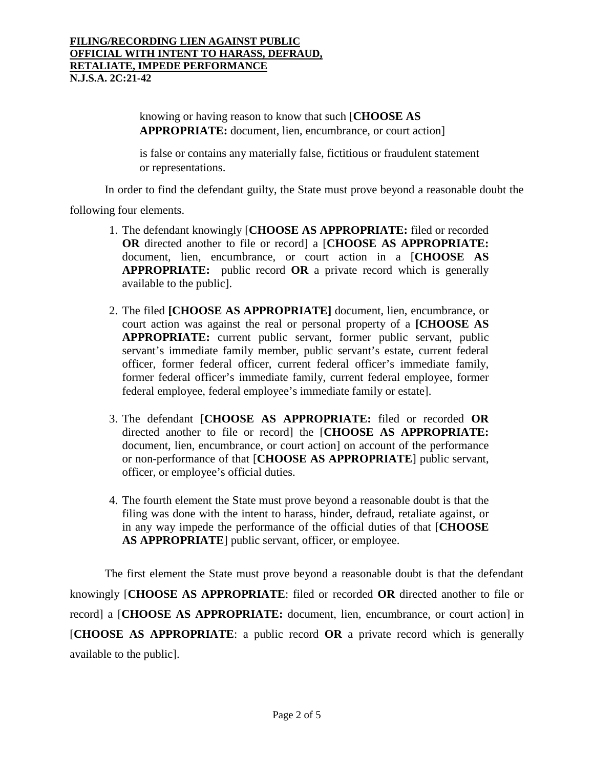knowing or having reason to know that such [**CHOOSE AS APPROPRIATE:** document, lien, encumbrance, or court action]

is false or contains any materially false, fictitious or fraudulent statement or representations.

In order to find the defendant guilty, the State must prove beyond a reasonable doubt the

following four elements.

- 1. The defendant knowingly [**CHOOSE AS APPROPRIATE:** filed or recorded **OR** directed another to file or record] a [**CHOOSE AS APPROPRIATE:** document, lien, encumbrance, or court action in a [**CHOOSE AS APPROPRIATE:** public record **OR** a private record which is generally available to the public].
- 2. The filed **[CHOOSE AS APPROPRIATE]** document, lien, encumbrance, or court action was against the real or personal property of a **[CHOOSE AS APPROPRIATE:** current public servant, former public servant, public servant's immediate family member, public servant's estate, current federal officer, former federal officer, current federal officer's immediate family, former federal officer's immediate family, current federal employee, former federal employee, federal employee's immediate family or estate].
- 3. The defendant [**CHOOSE AS APPROPRIATE:** filed or recorded **OR** directed another to file or record] the [**CHOOSE AS APPROPRIATE:** document, lien, encumbrance, or court action] on account of the performance or non-performance of that [**CHOOSE AS APPROPRIATE**] public servant, officer, or employee's official duties.
- 4. The fourth element the State must prove beyond a reasonable doubt is that the filing was done with the intent to harass, hinder, defraud, retaliate against, or in any way impede the performance of the official duties of that [**CHOOSE AS APPROPRIATE**] public servant, officer, or employee.

The first element the State must prove beyond a reasonable doubt is that the defendant knowingly [**CHOOSE AS APPROPRIATE**: filed or recorded **OR** directed another to file or record] a [**CHOOSE AS APPROPRIATE:** document, lien, encumbrance, or court action] in [**CHOOSE AS APPROPRIATE**: a public record **OR** a private record which is generally available to the public].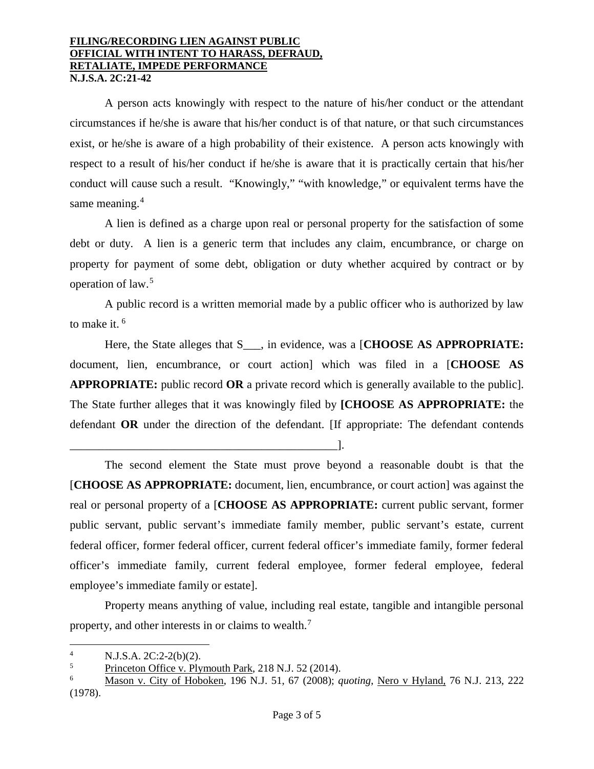#### **FILING/RECORDING LIEN AGAINST PUBLIC OFFICIAL WITH INTENT TO HARASS, DEFRAUD, RETALIATE, IMPEDE PERFORMANCE N.J.S.A. 2C:21-42**

A person acts knowingly with respect to the nature of his/her conduct or the attendant circumstances if he/she is aware that his/her conduct is of that nature, or that such circumstances exist, or he/she is aware of a high probability of their existence. A person acts knowingly with respect to a result of his/her conduct if he/she is aware that it is practically certain that his/her conduct will cause such a result. "Knowingly," "with knowledge," or equivalent terms have the same meaning.<sup>[4](#page-2-0)</sup>

A lien is defined as a charge upon real or personal property for the satisfaction of some debt or duty. A lien is a generic term that includes any claim, encumbrance, or charge on property for payment of some debt, obligation or duty whether acquired by contract or by operation of law. [5](#page-2-1)

A public record is a written memorial made by a public officer who is authorized by law to make it. [6](#page-2-2)

Here, the State alleges that S\_\_\_, in evidence, was a [**CHOOSE AS APPROPRIATE:** document, lien, encumbrance, or court action] which was filed in a [**CHOOSE AS APPROPRIATE:** public record **OR** a private record which is generally available to the public]. The State further alleges that it was knowingly filed by **[CHOOSE AS APPROPRIATE:** the defendant **OR** under the direction of the defendant. [If appropriate: The defendant contends

\_\_\_\_\_\_\_\_\_\_\_\_\_\_\_\_\_\_\_\_\_\_\_\_\_\_\_\_\_\_\_\_\_\_\_\_\_\_\_\_\_\_\_\_\_\_].

The second element the State must prove beyond a reasonable doubt is that the [**CHOOSE AS APPROPRIATE:** document, lien, encumbrance, or court action] was against the real or personal property of a [**CHOOSE AS APPROPRIATE:** current public servant, former public servant, public servant's immediate family member, public servant's estate, current federal officer, former federal officer, current federal officer's immediate family, former federal officer's immediate family, current federal employee, former federal employee, federal employee's immediate family or estate].

Property means anything of value, including real estate, tangible and intangible personal property, and other interests in or claims to wealth.[7](#page-2-3)

 $\overline{a}$ 

<span id="page-2-3"></span><span id="page-2-0"></span><sup>&</sup>lt;sup>4</sup> N.J.S.A. 2C:2-2(b)(2).<br><sup>5</sup> Princeton Office y. Ply

<span id="page-2-1"></span> $\frac{5}{6}$  Princeton Office v. Plymouth Park, 218 N.J. 52 (2014).

<span id="page-2-2"></span><sup>6</sup> Mason v. City of Hoboken, 196 N.J. 51, 67 (2008); *quoting*, Nero v Hyland, 76 N.J. 213, 222 (1978).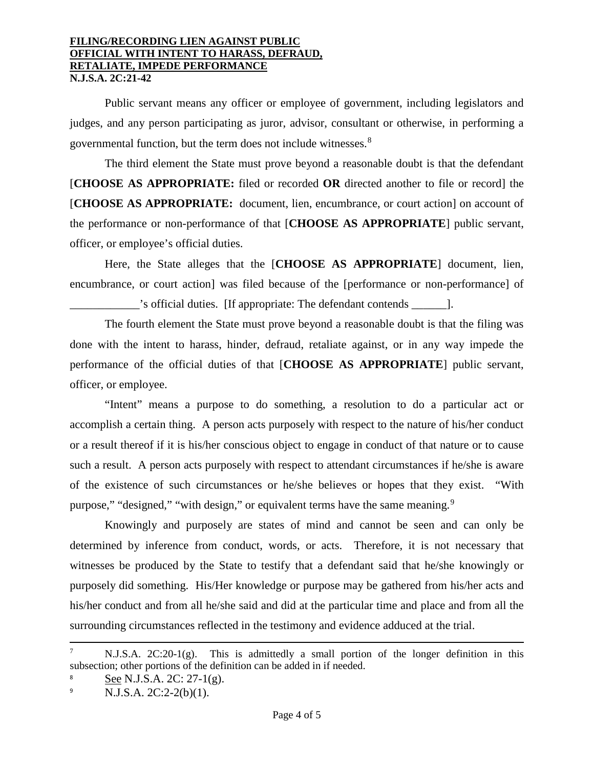#### **FILING/RECORDING LIEN AGAINST PUBLIC OFFICIAL WITH INTENT TO HARASS, DEFRAUD, RETALIATE, IMPEDE PERFORMANCE N.J.S.A. 2C:21-42**

Public servant means any officer or employee of government, including legislators and judges, and any person participating as juror, advisor, consultant or otherwise, in performing a governmental function, but the term does not include witnesses.<sup>[8](#page-3-0)</sup>

The third element the State must prove beyond a reasonable doubt is that the defendant [**CHOOSE AS APPROPRIATE:** filed or recorded **OR** directed another to file or record] the [**CHOOSE AS APPROPRIATE:** document, lien, encumbrance, or court action] on account of the performance or non-performance of that [**CHOOSE AS APPROPRIATE**] public servant, officer, or employee's official duties.

Here, the State alleges that the [**CHOOSE AS APPROPRIATE**] document, lien, encumbrance, or court action] was filed because of the [performance or non-performance] of \_\_\_\_\_\_\_\_\_\_\_\_'s official duties. [If appropriate: The defendant contends \_\_\_\_\_\_].

The fourth element the State must prove beyond a reasonable doubt is that the filing was done with the intent to harass, hinder, defraud, retaliate against, or in any way impede the performance of the official duties of that [**CHOOSE AS APPROPRIATE**] public servant, officer, or employee.

"Intent" means a purpose to do something, a resolution to do a particular act or accomplish a certain thing. A person acts purposely with respect to the nature of his/her conduct or a result thereof if it is his/her conscious object to engage in conduct of that nature or to cause such a result. A person acts purposely with respect to attendant circumstances if he/she is aware of the existence of such circumstances or he/she believes or hopes that they exist. "With purpose," "designed," "with design," or equivalent terms have the same meaning.<sup>[9](#page-3-1)</sup>

Knowingly and purposely are states of mind and cannot be seen and can only be determined by inference from conduct, words, or acts. Therefore, it is not necessary that witnesses be produced by the State to testify that a defendant said that he/she knowingly or purposely did something. His/Her knowledge or purpose may be gathered from his/her acts and his/her conduct and from all he/she said and did at the particular time and place and from all the surrounding circumstances reflected in the testimony and evidence adduced at the trial.

l

 $N.J.S.A.$   $2C:20-1(g)$ . This is admittedly a small portion of the longer definition in this subsection; other portions of the definition can be added in if needed.

<span id="page-3-0"></span>See N.J.S.A. 2C: 27-1(g).

<span id="page-3-1"></span><sup>9</sup> N.J.S.A. 2C:2-2(b)(1).